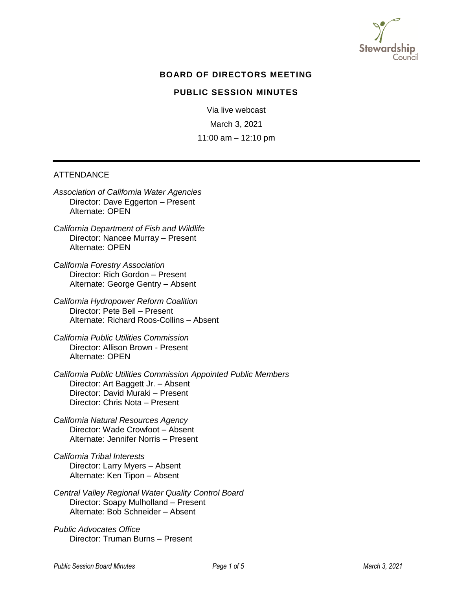

# **BOARD OF DIRECTORS MEETING**

#### **PUBLIC SESSION MINUTES**

Via live webcast March 3, 2021 11:00 am – 12:10 pm

#### **ATTENDANCE**

*Association of California Water Agencies* Director: Dave Eggerton – Present Alternate: OPEN

*California Department of Fish and Wildlife* Director: Nancee Murray – Present Alternate: OPEN

*California Forestry Association* Director: Rich Gordon – Present Alternate: George Gentry – Absent

*California Hydropower Reform Coalition* Director: Pete Bell – Present Alternate: Richard Roos-Collins – Absent

*California Public Utilities Commission* Director: Allison Brown - Present Alternate: OPEN

*California Public Utilities Commission Appointed Public Members*  Director: Art Baggett Jr. – Absent Director: David Muraki – Present Director: Chris Nota – Present

*California Natural Resources Agency* Director: Wade Crowfoot – Absent Alternate: Jennifer Norris – Present

*California Tribal Interests* Director: Larry Myers – Absent Alternate: Ken Tipon – Absent

*Central Valley Regional Water Quality Control Board* Director: Soapy Mulholland – Present Alternate: Bob Schneider – Absent

*Public Advocates Office* Director: Truman Burns – Present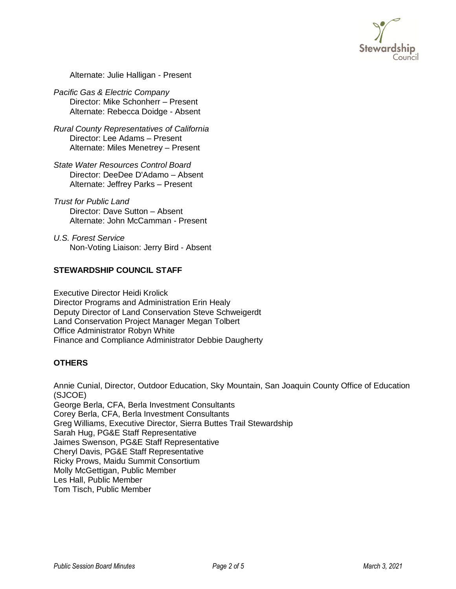

Alternate: Julie Halligan - Present

*Pacific Gas & [Electric Company](http://stewardshipcouncil.org/about_us/board_roster.htm)* Director: Mike Schonherr – Present Alternate: Rebecca Doidge - Absent

*Rural County Representatives of California* Director: Lee Adams – Present Alternate: Miles Menetrey – Present

*State Water Resources Control Board* Director: DeeDee D'Adamo – Absent Alternate: Jeffrey Parks – Present

*Trust for Public Land* Director: Dave Sutton – Absent Alternate: John McCamman - Present

*U.S. Forest Service* Non-Voting Liaison: Jerry Bird - Absent

# **STEWARDSHIP COUNCIL STAFF**

Executive Director Heidi Krolick Director Programs and Administration Erin Healy Deputy Director of Land Conservation Steve Schweigerdt Land Conservation Project Manager Megan Tolbert Office Administrator Robyn White Finance and Compliance Administrator Debbie Daugherty

#### **OTHERS**

Annie Cunial, Director, Outdoor Education, Sky Mountain, San Joaquin County Office of Education (SJCOE) George Berla, CFA, Berla Investment Consultants Corey Berla, CFA, Berla Investment Consultants Greg Williams, Executive Director, Sierra Buttes Trail Stewardship Sarah Hug, PG&E Staff Representative Jaimes Swenson, PG&E Staff Representative Cheryl Davis, PG&E Staff Representative Ricky Prows, Maidu Summit Consortium Molly McGettigan, Public Member Les Hall, Public Member Tom Tisch, Public Member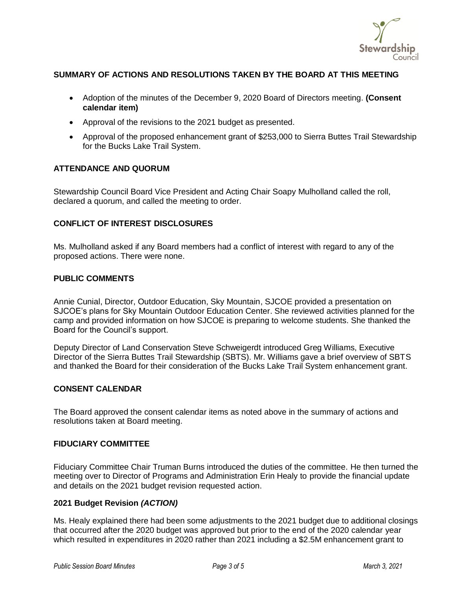

# **SUMMARY OF ACTIONS AND RESOLUTIONS TAKEN BY THE BOARD AT THIS MEETING**

- Adoption of the minutes of the December 9, 2020 Board of Directors meeting. **(Consent calendar item)**
- Approval of the revisions to the 2021 budget as presented.
- Approval of the proposed enhancement grant of \$253,000 to Sierra Buttes Trail Stewardship for the Bucks Lake Trail System.

# **ATTENDANCE AND QUORUM**

Stewardship Council Board Vice President and Acting Chair Soapy Mulholland called the roll, declared a quorum, and called the meeting to order.

# **CONFLICT OF INTEREST DISCLOSURES**

Ms. Mulholland asked if any Board members had a conflict of interest with regard to any of the proposed actions. There were none.

#### **PUBLIC COMMENTS**

Annie Cunial, Director, Outdoor Education, Sky Mountain, SJCOE provided a presentation on SJCOE's plans for Sky Mountain Outdoor Education Center. She reviewed activities planned for the camp and provided information on how SJCOE is preparing to welcome students. She thanked the Board for the Council's support.

Deputy Director of Land Conservation Steve Schweigerdt introduced Greg Williams, Executive Director of the Sierra Buttes Trail Stewardship (SBTS). Mr. Williams gave a brief overview of SBTS and thanked the Board for their consideration of the Bucks Lake Trail System enhancement grant.

# **CONSENT CALENDAR**

The Board approved the consent calendar items as noted above in the summary of actions and resolutions taken at Board meeting.

#### **FIDUCIARY COMMITTEE**

Fiduciary Committee Chair Truman Burns introduced the duties of the committee. He then turned the meeting over to Director of Programs and Administration Erin Healy to provide the financial update and details on the 2021 budget revision requested action.

#### **2021 Budget Revision** *(ACTION)*

Ms. Healy explained there had been some adjustments to the 2021 budget due to additional closings that occurred after the 2020 budget was approved but prior to the end of the 2020 calendar year which resulted in expenditures in 2020 rather than 2021 including a \$2.5M enhancement grant to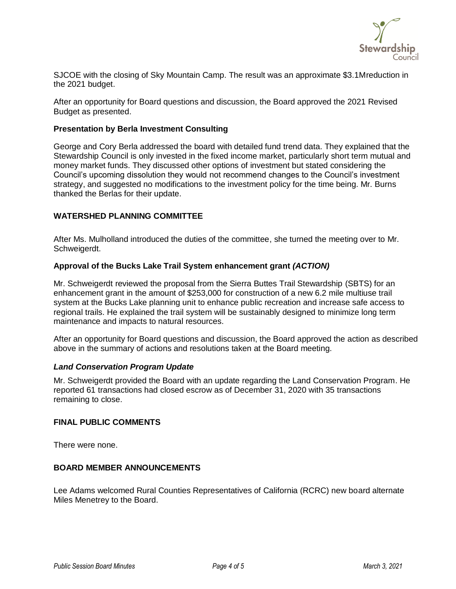

SJCOE with the closing of Sky Mountain Camp. The result was an approximate \$3.1Mreduction in the 2021 budget.

After an opportunity for Board questions and discussion, the Board approved the 2021 Revised Budget as presented.

#### **Presentation by Berla Investment Consulting**

George and Cory Berla addressed the board with detailed fund trend data. They explained that the Stewardship Council is only invested in the fixed income market, particularly short term mutual and money market funds. They discussed other options of investment but stated considering the Council's upcoming dissolution they would not recommend changes to the Council's investment strategy, and suggested no modifications to the investment policy for the time being. Mr. Burns thanked the Berlas for their update.

#### **WATERSHED PLANNING COMMITTEE**

After Ms. Mulholland introduced the duties of the committee, she turned the meeting over to Mr. Schweigerdt.

#### **Approval of the Bucks Lake Trail System enhancement grant** *(ACTION)*

Mr. Schweigerdt reviewed the proposal from the Sierra Buttes Trail Stewardship (SBTS) for an enhancement grant in the amount of \$253,000 for construction of a new 6.2 mile multiuse trail system at the Bucks Lake planning unit to enhance public recreation and increase safe access to regional trails. He explained the trail system will be sustainably designed to minimize long term maintenance and impacts to natural resources.

After an opportunity for Board questions and discussion, the Board approved the action as described above in the summary of actions and resolutions taken at the Board meeting.

#### *Land Conservation Program Update*

Mr. Schweigerdt provided the Board with an update regarding the Land Conservation Program. He reported 61 transactions had closed escrow as of December 31, 2020 with 35 transactions remaining to close.

#### **FINAL PUBLIC COMMENTS**

There were none.

#### **BOARD MEMBER ANNOUNCEMENTS**

Lee Adams welcomed Rural Counties Representatives of California (RCRC) new board alternate Miles Menetrey to the Board.